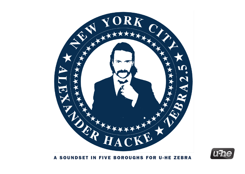



A SOUNDSET IN FIVE BOROUGHS FOR U-HE ZEBRA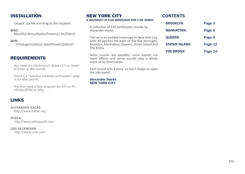# INSTALLATION

Unpack .zip file and drag to this location:

**MAC:** 

MacHD/Library/Audio/Presets/u-he/Zebra2

**WIN:**  ..\Vstplugins\Zebra2.data\Presets\Zebra2\

# REQUIREMENTS

You need Urs Heckmann's Zebra v2.5 or newer to listen to the sounds.

Zebra is a "wireless modular synthesizer" plugin for Mac and PC.

You also need a host program for VST on PC, VST/AU/RTAS on Mac.

# LINKS

**ALEXANDER HACKE:**  http://www.hacke.org

### **ZEBRA:**

http://www.zebrasynth.com

**URS HECKMANN:**  http://www.u-he.com

# NEW YORK CITY

#### A SOUNDSET IN FIVE BOROUGHS FOR U-HE ZEBRA

A collection of 150 synthesizer sounds by Alexander Hacke.

The set is an audible hommage to New York City, with 30 patches for each of the five boroughs, Brooklyn, Manhatten, Queens, Staten Island and The Bronx.

Some sounds are playable, some sounds are mere effects and some sounds play a whole score all by themselves.

Each sound tells a story, so don't forget to open the info panel!

#### Alexander Hacke NEW YORK CITY

# **CONTENTS**

| <b>BROOKLYN:</b>      | Page 3  |
|-----------------------|---------|
| <b>MANHATTAN:</b>     | Page 6  |
| <b>QUEENS:</b>        | Page 9  |
| <b>STATAN ISLAND:</b> | Page 12 |
| <b>THE BRONX:</b>     | Page 14 |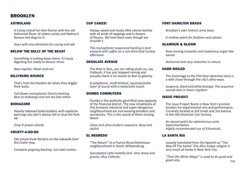# BROOKLYN

### ASTROLAND

A Coney Island fun-fare theme with the old fashioned flavor of cotton candy and Nathan's famous hot-dogs to it.

*Goes with any attraction for young and old.*

### BELOW THE BELLY OF THE BEAST

Something is lurking down there. It's busy digesting but ready to devour more.

*Bass register. Mean and evil.*

### BILLYBURG BOUNCE

That's how the hipsters do when they wiggle their butts.

*Full blown monophonic Electro backing. Best at midrange and not too fast either.*

#### BIOHAZARD

Heavily tattooed body-builders with eyebrow piercings you don't wanna tell to shut the fuck up.

*Drop D power-chords.*

### CRUSTY-A-GO-GO

Old school Punk Rockers on the sidewalk doin' the Cretin Hop.

*Complete pogoing backing. Just add crashes*

### CUP CAKES!

Always sweet and lovely little calorie-bombs with all kinds of toppings and in dozens of flovors. We love them even though we shouldn't.

*This monophonic sequenced backing is best enjoyed with coffee on a sun-drenched Sunday afternoon.*

### DESOLATE AVENUE

The time is 3am, you are riding south on, say Flatbush, it has just stopped raining and actually there is no reason to feel so gloomy.

*A polyphonic, multi-timbral, squarepulsatin layer of sound with a melacholic touch.*

## DUMBO COMMUTERS

Dumbo is the perfectly gentrified area opposite of the financial district. The new inhabitants of this formerly industrial and super-dangerous neighbourhood are suit-wearing brookers and secretaries. This is the sound of them moving about.

*Clean and ultra-modern sequence. Busy and stylish.*

## EL REGRESO

"The Return" to a Puerto Rican/Dominican neighbourhood in South-Williamsburg.

*Syncopated Latin-metallic feel. Very sharp and groovy. Muy Caliente.*

### FORT HAMILTON BRASS

Brooklyn's own historic army base.

*A mellow patch for fanfares and salutes.*

#### GLAMOUR & GLOOM

Slow moving romantic and mysterious organ-like sound.

*Nocturnal and very seductive in nature.*

### HARD BOILED

This hommage to the Film Noir detective story is a wild chase through the city's alley-ways.

*Suspense, black and white footage. The sequence sounds best in lower registers*

### ISSUE PROJECT

The Issue Project Room is New York's premier location for experimental arts and performance. Currently located at 3rd street and 3rd avenue in the Old American Can Factory.

*An atonal patch for adventurous sonic experimentation. Highly recommended use of XYcontrols.*

## LA SANTA RIA

Loosely translated from the Spanish as "The Way Of The Saints" this Afro-Cuban religion is very much at home in New York City.

*"That Ole White Magic" is used to do good and good only.* P.03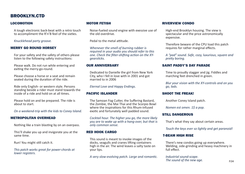# BROOKLYN.CTD

### LOCOMOTION

A tough electronic back-beat with a retro touch to accompliment the R'n'B feel of the sixties.

*Knucklehead party groove.*

#### MERRY GO ROUND HORSEY

For your safety and the safety of others please listen to the following safety instructions:

Please walk. Do not run while entering and exiting the merry-go-round.

Please choose a horse or a seat and remain seated during the duration of the ride.

Ride only English- or western style. Persons standing beside a rider must stand towards the inside of a ride and hold on at all times.

Please hold on and be prepared. The ride is about to start.

*On a weekend-trip with the kids to Coney Island.*

#### METROPOLITAN OVERHEAD

Nothing like a train blasting by on an overpass.

This'll shake you up and invigorate you at the same time.

Run! You might still catch it.

*This patch works great for power-chords at lower registers.*

#### MOTOR FETISH

Noise-fueled sound engine with exessive use of the old overdrive.

Pedal to the metal attitude.

*Whenever the smell of burning rubber is required in your audio you should refer to this one. Check the filter-shifting action on the XYgearsticks.*

#### OUR ANNIVERSARY

Dedicated to Danielle the girl from New York City, who I fell in love with in 2001 and got married to in 2006

*Eternal Love and Happy Endings.*

### PACIFIC ISLANDER

The Samoan Fog Cutter, the Suffering Bastard, the Zombie, the Mai Thai and the Scorpio Bowl where the inspirations for this Rhum-infused exotic and fortunately well padded sound.

*Cocktail hour. The higher you go, the more likely you are to wake up with a hang-over, but that is only common sense.*

#### RED HOOK CARGO

This sound is meant to invoke images of the docks, seagulls and cranes lifting containers high in the air. The wind leaves a salty taste on your lips.

*A very slow-evolving patch. Large and romantic.*

#### RIVERVIEW CONDO

High-end Brooklyn housing. The view is spectacular and the price astronomically expensive.

Therefore beware of the CPU load this patch requires for rather marginal effects.

*A "pad" sound. Safe, cozy, luxurious, square and pretty boring.*

#### SAINT PADDY'S DAY PARADE

Time to proudly stagger and jig. Fiddles and marching feet drenched in green.

*Blur your vision with the XY-controls and on you go, lads.*

### SHOOT THE FREAK!

Another Coney Island patch.

*Nomen est omen. 1\$ a pop.*

#### STILL DANGEROUS

That's what they say about certain areas.

*Touch the keys ever so lightly and get paranoid!*

#### T-BEAM HIGH RISE

There's new condos going up everywhere. Welding, side-grinding and heavy machinery in full effect.

*Industrial sound-scape. The sound of the new age.* P.04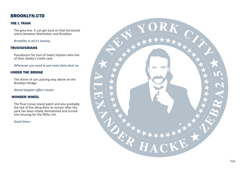# BROOKLYN.CTD

## THE L TRAIN

The grey line. It can get loud on that horizontal artery between Manhattan and Brooklyn.

## *Brutallity in all it's beauty.*

## TRUSTAFARIANS

Pseudonym for (out of town) hipsters who live of their daddy's credit-card.

*Whenever you need to put some fairy-dust on.*

# UNDER THE BRIDGE

The drone of cars passing way above on the Brooklyn Bridge.

*Atonal doppler-effect cluster.*

## WONDER WHEEL

The final Coney Island patch and also probably the last of the attractions to remain after the park has been totally demolished and turned into housing for the filthy rich.

*Good times.*

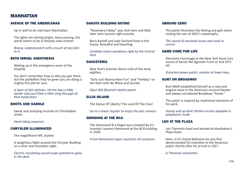# MANHATTAN

## AVENUE OF THE AMERICANAS

Up in well to do mid-town Manhattan.

The lights are shining bright, limos passing, the world seems to be in dreamy slow-motion.

*Brassy, sedated patch with a touch of Jazz-feel to it.*

## BETH ISRAEL ANESTHESIA

Waking up in the emergency room of the hospital.

You don't remember how or why you got there, but the painkillers they've given you are doing a mighty fine job for sure.

*A layer of dim oblivion. Hit the keys a little harder and you'll feel a little sting through all that medication.*

## BOOTS AND SADDLE

Sweat and pumping muscles on Christopher street.

*Hard-riding sequence*

## CHRYSLER ILLUMINATED

The magnificent NYC skyline.

A weightless flight around the Chrysler Building on a clear and moonless night.

*Electric circulating sound-scape patched to glow in the dark.*

## DAKOTA BUILDING GOTHIC

"Rosemary's Baby" was shot here and little later John Lennon right outside.

Boris Karloff and Judy Garland lived in this house. Beautiful and haunting.

*Cembalo meets weirdness right by the Central Park*

## DANCETERIA

New York's premier dance-club of the early eighties.

"Girls Just Wanna Have Fun" and "Holiday" on the floor with No Wave and Suicide.

*Open 80s-flavored rhythm-patch.*

## ELLIS ISLAND

The Statue Of Liberty! The Land Of The Free!

*Go to a lower register to enjoy the epic scenery.*

## GRINDING AT THE RCA

The Hammond B-3 Organ was unveiled by it's inventor Laurens Hammond at the RCA building in 1939

*A hot Hammond organ sound for all occasions.*

#### GROUND ZERO

This patch illustrates the feeling one gets when visiting the site of 2001's catastrophy .

*The sound of unsolved issues and souls in unrest.*

### HARD CORE FOR LIFE

Electronic hommage to the New York Hard Core sound of bands like Agnostic Front or Sick Of It All.

*Distorted power-patch, manlier at lower keys.*

### KURT ON BROADWAY

Kurt Weill established himself as a new and original voice in the American musical theater and always considered Broadway "home."

This patch is inspired by rhythmical elements of his work.

*Gaudy and up-beat rhythm-section playable in polyphonic mode.*

## LEO AT THE PLAZA

Leo Theremin lived and worked at Manhattan's Plaza Hotel.

Here, in it's Grand Ballroom he also first demonstrated his invention to the American public shortly after his arrival in 1927.

*A Theremin simulation.*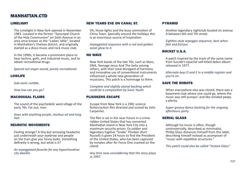# MANHATTAN.CTD

#### LIMELIGHT

The Limelight in New York opened in November 1983. Located in the former "Episcopal Church of the Holy Communion" on Sixth Avenue in an area once known as the "Ladies' Mile", located in Manhattan's Chelsea district, and originally started as a disco music and rock music club.

In the 1990s, it became a prominent place to hear techno, goth, and industrial music, and to obtain recreational drugs.

*Spaced out organ sound, purely recreational.*

#### LOWLIFE

Sub-sonic rumble.

*How low can you go?*

#### MACDOUGAL FLAIRS

The sound of the psychedelic west-village of the early 70s. Far out, man.

*Goes with anything purple, moshus-oil and long hair.*

#### NEUROTIC MOVEMENTS

Feeling strange? A tiny but annoying headache just underneath your eyebrow and people on the train give you funny looks. Something definetly is wrong, but what is it?

*An arpeggiated favorite for any hypochondriac city dweller.*

#### NEW YEARS EVE ON CANAL ST.

Oh, those lights and the busy commotion of China Town. Specially around the holidays this is an enormous source of inspiration.

*Arpeggiated sequence with a red and golden asian glow to it.*

### NO WAVE

New York bands of the late 70s, such as Mars, DNA, Teenage Jesus And The Jerks among others, with their total disregard of harmony and innovative use of conventional instruments influenced a whole new generation of musicians, This patch is a hommage to them.

*Complete and slightly atonal backing which could be a composition by Sonic Youth.*

#### PLISSKENS ESCAPE

Escape from New York is a 1981 science fiction/action film directed and scored by John Carpenter.

The film is set in the near future in a crimeridden United States that has converted Manhattan Island in New York City into a maximum security prison. Ex-soldier and legendary fugitive "Snake" Plissken (Kurt Russell) is given 24 hours to find the President of the United States, who has been captured by inmates after Air Force One crashed on the island.

*Any time now considdering that the story plays in 1997.*

#### PYRAMID

Another legendary nightclub located on avenue A between 6th and 7th street.

*Eighties-style arpeggio sequence, best when fast and furious.*

## ROCKET U.S.A.

A patch inspired by the track of the same name from Suicide's epochal self-titled debut album released in 1977.

*Alternate keys D and E in a middle register and you're on.*

#### SAVE THE ROBOTS

When everywhere else was closed, there was a basement-club where one could go, where the music was still pumpin' and like-minded peeps a plenty.

*Super groovy dance backing for the ongoing afterhours party.*

#### SERIAL GLASS

Although his music is often, though controversially, described as minimalist, Phillip Glass distances himself from this label, describing himself instead as acomposer of "music with repetitive structures."

*This patch could also be called "Instant Glass"*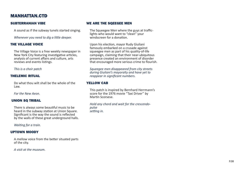# MANHATTAN.CTD

#### SUBTERRANIAN VIBE

A sound as if the subway tunels started singing.

*Whenever you need to dig a little deeper.*

#### THE VILLAGE VOICE

The Village Voice is a free weekly newspaper in New York City featuring investigative articles, analysis of current affairs and culture, arts reviews and events listings.

#### *This is a choir patch*

#### THELEMIC RITUAL

Do what thou wilt shall be the whole of the Law.

#### *For the New Aeon.*

#### UNION SQ TRIBAL

There is always some beautiful music to be heard in the subway station at Union Square. Significant is the way the sound is reflected by the walls of these great underground halls.

*Waiting for a train.*

#### UPTOWN MOODY

A mellow voice from the better situated parts of the city.

*A visit at the museum.*

#### WE ARE THE SQEEGEE MEN

The Squeegee Men where the guys at trafficlights who would want to "clean" your windscreen for a donation.

Upon his election, mayor Rudy Giuliani famously embarked on a crusade against squeegee men as part of his quality-of-life campaign, claiming that their near-ubiquitous presence created an environment of disorder that encouraged more serious crime to flourish.

*Squeegee men disappeared from city streets during Giuliani's mayoralty and have yet to reappear in significant numbers.*

#### YELLOW CAB

This patch is inspired by Bernhard Herrmann's score for the 1976 movie "Taxi Driver" by Martin Scorsese.

*Hold any chord and wait for the crescendopulse setting in.*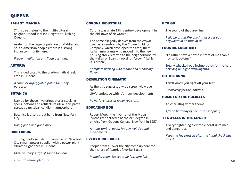# **OUEENS**

# 74TH ST. MANTRA

74th street refers to the multi-cultural neighbourhood Jackson Heights at Flushing Queens.

Aside fron the large population of Middle- and South-American peoples there is a strong Indian community here.

*Prayer, meditation and Yoga positions.*

## ASTORIA

This is dedicated to the predominatly Greek area in Queens.

*A complex arpeggiated patch for many purposes.*

# **ROTANICA**

Named for those mysterious stores stocking spells, potions and artifacts of ritual, this patch spreads a mystical, candle-lit atmosphere.

Botanica is also a great band from New York City.

*Doing good and good only.*

## CON EDISON

This high-voltage patch is named after New York City's main power-supplier with a power-plant situated right here in Queens.

*Massive scary surge of sound for your* 

*industrial-music pleasure.*

## CORONA INDUSTRIAL

Corona was a late 19th century development in the old Town of Newtown.

The name allegedly derives from the crown used as an emblem by the Crown Building Company, which developed the area; them Italian immigrants who moved into the new housing stock referred to the neighborhood by the Italian or Spanish word for "crown" (which is "corona").

*Complete backing with a dark and menacing flavor.*

# DEMOLITION CINEMATIC

As the title suggests a wide-screen view over the city's landscape with it's many developments.

*Powerful chords at lower registers.*

## EDUCATING BOB

Robert Moog, the inventor of the Moog Synthesizer earned a bachelor's degree in physics from Queens College, New York in 1957

*A multi-timbral patch for any weird sound experiments.*

# EVERYTHING BAGEL

People from all over the city come up here for their share of Astorias favorite Bagels.

*In moderation. Expect to be full, very full.*

# F TO GO

The sound of that grey line.

*Reliable organ-like patch that'll get you anywhere in no time at all.*

## FRONTAL LOBOTOMY

"I'd rather have a bottle in front of me than a frontal lobotomy"

Totally whacked out Techno-patch for the hard partying all-night extravaganza.

## HIT THE BONG

This'll knock you right off your feet.

*Exclusively for the initiated.*

## HOME FOR THE HOLIDAYS

An oscillating winter theme.

*After a hard day of christmas shopping*

## IT DWELLS IN THE SEWER

A very frightening electronic beast untaimed and dangerous.

*Keep the key pressed after the initial shock has faded.*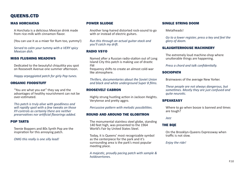# QUEENS.CTD

### MAS HORCHATAS

A Horchata is a delicious Mexican drink made from rice-milk with cinnamon flavor.

(You can use it as a mixer for Rum too, yummy!)

*Served to calm your tummy with a VERY spicy Mexican dish.*

#### MISS FLUSHING MEADOWS

Dedicated to the beautyful chiquitita you spot on Roosevelt Avenue one summer afternoon.

*Happy arpeggiated patch for girly Pop tunes.*

#### ORGANIC FOODSTUFF

"You are what you eat" they say and the advantages of healthy nourishment can not be over-estimated.

*This patch is truly alive with goodliness and will rapidly spoil with a few tweaks on those XY-controls as certainly there are neither preservatives nor artificial flavorings added.*

#### POP TARTS

Teenie Boppers and 80s Synth Pop are the inspiration for this annoying patch.

*OMG this really is one silly lead!*

### POWER SLUDGE

Another long-haired distorted rock-sound to go with or instead of electric guitars.

*Run this through an actual guitar-stack and you'll catch my drift.*

## RADIO VSYO

Named after a Russian radio-station out of Long Island City this patch is making use of drastic FM frequency shifts to create an almost cold-war like atmosphere.

*Thrillers, documentaries about the Soviet Union and black and white underground Super 8 films.*

### ROOSEVELT CABRON

Highly strung hustling action in Jackson Heights. Verytense and pretty aggro.

*Percussive pattern with melodic possibilities.*

#### ROUND AND AROUND THE GLOBITRON

The monumental stainless steel globe, standing 140 feet high, was presented to the 1964 World's Fair by United States Steel.

Today, it is Queens' most recognizable symbol as the centerpiece for the park and it's surrounding area is the park's most popular meeting place.

*A majestic, proudly pacing patch with sample & holdovertones.*

#### SINGLE STRING DOOM

Metalheads!

*Go to a lower register, press a key and feel the glory of doom.*

#### SLAUGHTERHOUSE MACHINERY

The extremely loud machine-shop where unutterable things are happening.

*Press a chord and talk confidentially.*

#### SOCIOPATH

Brainwaves of the average New Yorker.

*These people are not always dangerous, but sometimes. Mostly they are just confused and quite neurotic.*

#### **SPEAKEASY**

Where to go when booze is banned and times are tough?

*Jazz*

### THE BQE

On the Brooklyn-Queens Expressway when traffic is not slow.

*Enjoy the ride!*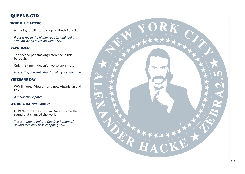# QUEENS.CTD

# TRUE BLUE TATTOO

Vinny Signorelli's tatto shop on Fresh Pond Rd.

*Press a key in the higher register and feel that swallow being inked on your neck.*

## VAPORIZER

The second pot-smoking reference in this borough.

Only this time it doesn't involve any smoke.

*Interesting concept. You should try it some time.*

# VETERANS DAY

WW II, Korea, Vietnam and now Afganistan and Irak.

## *A melancholic patch.*

## WE'RE A HAPPY FAMILY

In 1974 from Forest Hills in Queens came the sound that changed the world.

*This is trying to imitate Dee Dee Ramones' downstroke only bass-chopping style*

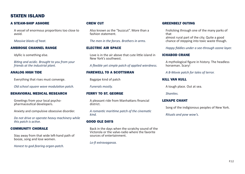# STATEN ISLAND

### A STEAM-SHIP ASHORE

A vessel of enormous proportions too close to avoid.

*Massive blasts of heat.*

#### AMBROSE CHANNEL RANGE

Idyllic is something else.

*Biting and acidic. Brought to you from your friends at the industrial plant.*

#### ANALOG HIGH TIDE

Everything that rises must converge.

*Old school square wave modulation patch.*

#### BEHAVIORAL MEDICAL RESEARCH

Greetings from your local psychopharmaceutical developers.

Anxiety and compulsive obsessive disorder.

*Do not drive or operate heavy machinery while this patch is active.*

#### COMMUNITY CHORALE

Stay away from that wide left-hand path of booze, song and lose women.

*Honest to god-fearing organ-patch.*

### CREW CUT

Also known as the "buzzcut". More than a fashion statement.

*The men in the forces. Brothers in arms.*

#### ELECTRIC AIR SPACE

Love is in the air above that cute little island in New York's southwest.

*A flexible yet simple patch of applied wierdness.*

#### FAREWELL TO A SCOTTSMAN

Bagpipe kind of patch

*Funerals mostly.*

### FERRY TO ST. GEORGE

A pleasant ride from Manhattans financial district.

*A romantic maritime patch of the cinematic kind.*

#### GOOD OLE DAYS

Back in the days when the scratchy sound of the Victorola or the valve-radio where the favorite sources of entertainment.

*Lo-fi extravaganza.*

#### GREENBELT OUTING

Frolicking through one of the many parks of that almost rural part of the city. Quite a good chance of stepping into toxic waste though.

*Happy fiddles under a see-through ozone layer.*

#### ICHABOD CRANE

A mythological figure in history. The headless horseman. Scary!

*A B-Movie patch for tales of terror.*

#### KILL VAN KULL

A tough place. Out at sea.

*Shanties.*

#### LENAPE CHANT

Song of the indigionous peoples of New York.

*Rituals and pow wow's.*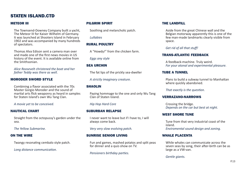# STATEN ISLAND.CTD

#### METEOR III

The Townsend-Downey Company built a yacht, The Meteor III for Kaiser Wilhelm of Germany. It was launched at Shooters Island in February 1902 and was accompanied by many hundreds of spectators.

Thomas Alva Edison sent a camera man over and made one of the first news movies in US history of the event. It is available online from the Smithsonian.

*Alice Roosevelt christened the boat and her father Teddy was there as well.*

#### MORODER SWORD STYLE

Combining a flavor associated with the 70s Master Gorgio Moroder and the sound of martial arts flick weaponry as heard in samples for Staten Island's own Wu Tang Clan.

*A movie yet to be conceived.*

#### NAUTICAL CHART

Straight from the octopussy's garden under the sea.

*The Yellow Submarine.*

#### ON THE WIRE

Twangy resonating cembalo style patch.

*Long distance communication.*

## PILGRIM SPIRIT

Soothing and melancholic patch.

*Lullabies*

## RURAL POULTRY

A "Howdy!" from the chicken farm.

*Eggs any style*

### SEA URCHIN

The fat lips of the prickly sea-dweller

*A strictly imaginary creature.*

### **SHAOLIN**

Paying hommage to the one and only Wu Tang Clan of Staten Island.

#### *Hip Hop Hard Core*

### SUBURBAN RELAPSE

I never want to leave but if I have to, I will always come back.

*Very very slow evolving patch.*

#### SUNRISE SENIOR LIVING

Fun and games, mashed potatos and split peas for dinner and a quiz-show on TV.

*Pensioners birthday parties.*

### THE LANDFILL

Aside from the great Chinese wall and the Belgian motorway apparently this is one of the few man-made landmarks clearly visible from space.

### *Get rid of all that stuff!*

### TRANS-ATLANTIC FEEDBACK

A feedback-machine. Truly weird. *For your atonal and experimental pleasure.*

### TUBE A TUNNEL

Plans to build a subway tunnel to Manhattan where quickly abandoned.

*That exactly is the question.*

### VERRAZANO-NARROWS

Crossing the bridge. *Depends on the car but best at night.*

### WEST SHORE TUNE

Tune from that very industrial coast of the island. *Enviromental sound design and zoning.*

#### WHALE PLACENTA

While whales can communicate across the seven seas by song, their after-birth can be as large as a VW-van.

#### *Gentle giants.*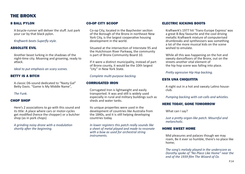# THE BRONX

## 8 BALL PYLON

A bicycle-runner will deliver the stuff. Just park your car by that black pylon.

*Kraftwerk beats Superfly style.*

## ABSOLUTE EVIL

Another beast lurking in the shadows of the night-time city. Moaning and groaning, ready to attack.

*Ideal to put emphasis an scary scenes.*

# BETTY IS A BITCH

A classic D6-sound dedicated to "Nasty Gal" Betty Davis. "Game Is My Middle Name",

*The Funk.*

## CHOP SHOP

Here's 2 associations to go with this sound and its title: A place where cars or motor-cycles get modified (hence the chopper) or a butcher shop (as in pork chops)

*A grinding noisy drone with a modulation shortly after the beginning.*

## CO-OP CITY SCOOP

Co-op City, located in the Baychester section of the Borough of the Bronx in northeast New York City, is the largest cooperative housing development in the world.

Situated at the intersection of Interstate 95 and the Hutchinson River Parkway, the community is part of Bronx Community Board 10.

If it were a distinct municipality, instead of part of Bronx county, it would be the 10th largest "city" in New York State.

## *Complete multi-purpose backing.*

## CORRUGATED IRON

Corrugated Iron is lightweight and easily transported. It was and still is widely used especially in rural and military buildings such as sheds and water tanks.

Its unique properties were used in the development of countries like Australia from the 1840s, and it is still helping developing countries today.

*In lower registers this patch really sounds like a sheet of metal played and made to resonate with a bow as used for orchestral string instruments.*

## ELECTRIC KICKING BOOTS

Kraftwerk's 1977 hit 'Trans-Europe Express' was a great B-Boy favourite and the cool driving metallic Kraftwerk mixture of computerised drumbreaks and synthesisers was something a lot of the more musical kids on the scene wished to emulate.

While all this was happening on the hot and sweaty dancefloors of the Bronx, out on the streets another vital element of the hip hop scene was falling into place.

## *Pretty agressive Hip Hop backing.*

## ESTA UNA CHIQUITITA

A night out in a hot and sweaty Latino houseclub.

*Pumping backing with cat-calls and whistles.*

## HERE TODAY, GONE TOMORROW

What can I say?

*Just a pretty organ-like patch. Mournful and melancholic.*

## HOME SWEET HOME

Mid pleasures and palaces though we may roam, Be it ever so humble, there's no place like home;

*The song's melody played in the underscore as Dorothy spoke of "No Place Like Home" near the end of the 1939 film The Wizard of Oz.*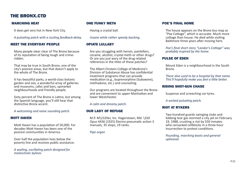# THE BRONX.CTD

## MARCHING HEAT

It does get very hot in New York City.

*A pulsating patch with a sizzling feedback-delay.*

#### MEET THE EVERYDAY PEOPLE

Many people steer clear of The Bronx because of its reputation of being tough and crimeridden.

That may be true in South Bronx, one of the city's poorest areas, but that doesn't apply to the whole of The Bronx.

It has beautiful parks, a world-class botanic garden and zoo, a wonderful array of galleries and museums, cafes and bars, upmarket neighbourhoods and friendly people.

Sixty percent of The Bronx is Latino, but among the Spanish language, you'll still hear that distinctive Bronx accent.

*A welcoming and naive sounding patch.*

#### MOTT HAVEN

Mott Haven has a population of 50,000. For decades Mott Haven has been one of the poorest communities in America.

Over half the population lives below the poverty line and receives public assistance.

*A wailing, oscillating patch designed for melancholic bylines*

### ONE FUNKY METH

Having a crystal ball.

*Insane while rather speedy backing.*

### OPIATE LULLABY

Are you struggling with heroin, painkillers, cocaine, alcohol, crystal meth or other drugs? Or are you just wary of the drug related references in the titles of these patches?

The Albert Einstein College of Medicine's Division of Substance Abuse has confidential treatment programs that can provide medication (e.g., buprenorphine (Suboxone), methadone, etc.) and counseling.

Our programs are located throughout the Bronx and are convenient to upper-Manhattan and lower Westchester.

*A calm and dreamy patch.*

#### OUR LADY OF REFUGE

M.P. M\232ller, Inc. Hagerstown, Md. \320 Opus 4436 (1925) Electro-pneumatic action 3 manuals, 35 stops, 19 ranks.

*Pipe organ*

## POE'S FINAL HOME

The house appears on the Bronx bus map as "Poe Cottage", which is accurate. Much more cottage than house. He died while visiting Baltimore three years after moving here.

*Poe's final short story "Landor's Cottage" was probably inspired by the home.*

## PULSE OF EDEN

Mount Eden is a neighbourhood in the South **Brony** 

*There also used to be a hospital by that name. This'll hopefully make you feel a little better.*

#### RIDING SHOT-GUN CHASE

Suspense and screeching car-tyres.

*A wicked pulsating patch.*

## RIOT AT RYKERS

Two-hundred guards swinging clubs and lobbing tear gas stormed a city jail on February 19, 1988, crushing a riot by 550 inmates who ransacked cellblocks in a three-hour insurrection to protest conditions.

*Pounding, marching boots and general upheaval.*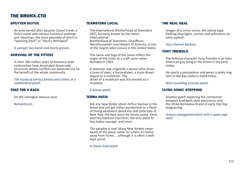# THE BRONX.CTD

### SPUYTEN DUYVIL

An area named after Spuyten Duyvil Creek, a Dutch name with various historical spellings and meanings, the most plausible of which is "Spinning Devil" or "Devil's Whirlpool"

*A swingin' but harsh and manly groove.*

#### SURVIVAL OF THE FITTEST

In their 300 million years of existance even cockroaches have developed democratic structures where conflicts are balanced out for the benefit of the whole community.

*The sound of various beasts and critters in a multitimbral patch.*

### TAKE THE 6 BACK

On the Lexington Avenue local.

*Romanticism.*

#### TEAMSTERS LOCAL

The International Brotherhood of Teamsters (IBT), formerly known by the name International Brotherhood of Teamsters, Chauffeurs, Warehousemen and Helpers of America, is one of the largest labor unions in the United States.

The name and logo of the union reflect the origin of the union as a craft union when founded in 1903.

A teamster was originally a person who drove a team of oxen, a horse-drawn, a mule-drawn wagon or a muletrain. The driver of a muletrain was also known as a muleteer.

#### *A brassy patch.*

#### TERRA NATIA

Ask any New Yorker about Arthur Avenue in the Bronx and you get either puzzlement or a flood of loving sentiment about the real Little Italy of New York, the best place for bread, pasta, meat, pastries,espresso machines, the only place to buy Italian sausage, and more.

The paradox is real: Many New Yorkers never heard of the place, while for others it's home away from home ... although it is often a wellkept secret.

*A snazzy lead-patch.*

#### THE REAL DEAL

Images of a crime-scene, the yellow tape, flashing blue lights, sirenes and reflections on rainy asphalt.

*Four channel backing*

#### TONY TREMOLO

The fictional character Tony Tremolo is an Italo-American guy living in the Bronx in the early sixties.

He sports a pompadour and wears a pinky ring. Sort of like Ray Liotta in Good Fellas.

*Retro sounding tremolo-patch.*

#### ULTRA SONIC STEPPING

Another patch exploring the connection between Kraftwerk-style electronics and the Afrika Bambataa brand of early Hip Hop programing.

*Groovy arpeggiated patch with a space-age twist.*